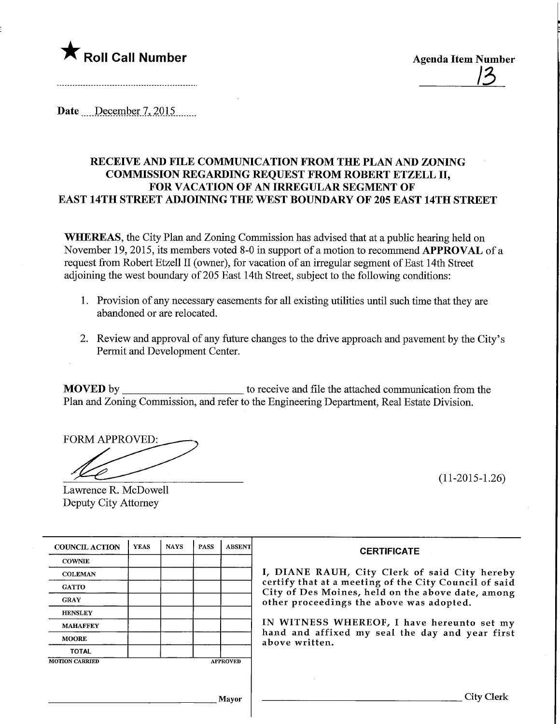

<u>ے ر</u>

Date December 7, 2015

# RECEIVE AND FILE COMMUNICATION FROM THE PLAN AND ZONING COMMISSION REGARDING REQUEST FROM ROBERT ETZELL II, FOR VACATION OF AN IRREGULAR SEGMENT OF EAST 14TH STREET ADJOINING THE WEST BOUNDARY OF 205 EAST 14TH STREET

WHEREAS, the City Plan and Zoning Commission has advised that at a public hearing held on November 19, 2015, its members voted 8-0 in support of a motion to recommend APPROVAL of a request from Robert Etzell II (owner), for vacation of an irregular segment of East 14th Street adjoining the west boundary of 205 East 14th Street, subject to the following conditions:

- 1. Provision of any necessary easements for all existing utilities until such time that they are abandoned or are relocated.
- 2. Review and approval of any future changes to the drive approach and pavement by the City's Permit and Development Center.

MOVED by to receive and file the attached communication from the Plan and Zoning Commission, and refer to the Engineering Department, Real Estate Division.

FORM APPROVED:

(11-2015-1.26)

| Lawrence R. McDowell |  |
|----------------------|--|
| Deputy City Attorney |  |

| <b>COUNCIL ACTION</b> | <b>YEAS</b> | <b>NAYS</b> | <b>PASS</b> | <b>ABSENT</b>   |
|-----------------------|-------------|-------------|-------------|-----------------|
| <b>COWNIE</b>         |             |             |             |                 |
| <b>COLEMAN</b>        |             |             |             |                 |
| <b>GATTO</b>          |             |             |             |                 |
| <b>GRAY</b>           |             |             |             |                 |
| <b>HENSLEY</b>        |             |             |             |                 |
| <b>MAHAFFEY</b>       |             |             |             |                 |
| <b>MOORE</b>          |             |             |             |                 |
| <b>TOTAL</b>          |             |             |             |                 |
| <b>MOTION CARRIED</b> |             |             |             | <b>APPROVED</b> |

#### **CERTIFICATE**

ANE RAUH, City Clerk of said City hereby y that at a meeting of the City Council of said of Des Moines, held on the above date, among proceedings the above was adopted.

ITNESS WHEREOF, I have hereunto set my and affixed my seal the day and year first e written.

Mavor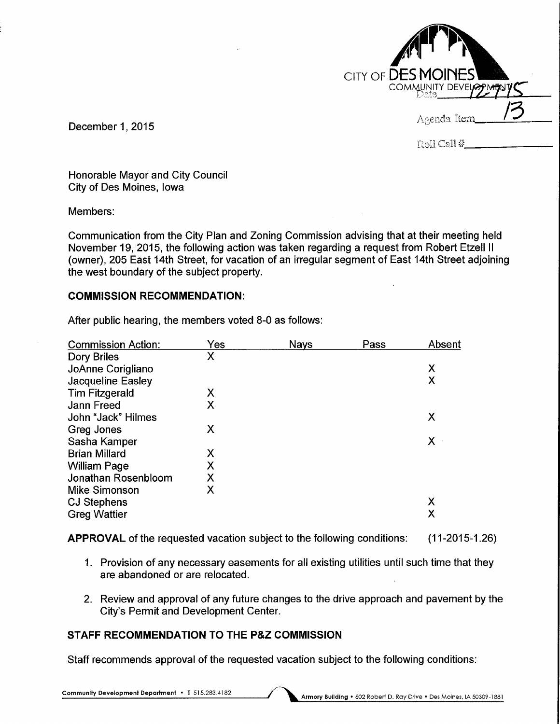| CITY OF <b>DES MOINES</b><br>COMMUNITY DEVELOPMEN |
|---------------------------------------------------|
| Agenda Item                                       |
| Roll Call #                                       |

December 1, 2015

Honorable Mayor and City Council City of Des Moines, Iowa

Members:

Communication from the City Plan and Zoning Commission advising that at their meeting held November 19, 2015, the following action was taken regarding a request from Robert Etzell II (owner), 205 East 14th Street, for vacation of an irregular segment of East 14th Street adjoining the west boundary of the subject property.

# COMMISSION RECOMMENDATION:

| <b>Commission Action:</b> | Yes | <b>Nays</b> | Pass | Absent |
|---------------------------|-----|-------------|------|--------|
| <b>Dory Briles</b>        | Χ   |             |      |        |
| JoAnne Corigliano         |     |             |      | X      |
| <b>Jacqueline Easley</b>  |     |             |      | Χ      |
| <b>Tim Fitzgerald</b>     | X   |             |      |        |
| Jann Freed                | X   |             |      |        |
| John "Jack" Hilmes        |     |             |      | Χ      |
| Greg Jones                | X   |             |      |        |
| Sasha Kamper              |     |             |      | X      |
| <b>Brian Millard</b>      | X   |             |      |        |
| <b>William Page</b>       | X   |             |      |        |
| Jonathan Rosenbloom       | X   |             |      |        |
| Mike Simonson             | X   |             |      |        |
| <b>CJ Stephens</b>        |     |             |      | Χ      |
| <b>Greg Wattier</b>       |     |             |      | Χ      |

After public hearing, the members voted 8-0 as follows:

APPROVAL of the requested vacation subject to the following conditions: (11-2015-1.26)

- 1. Provision of any necessary easements for all existing utilities until such time that they are abandoned or are relocated.
- 2. Review and approval of any future changes to the drive approach and pavement by the City's Permit and Development Center.

# STAFF RECOMMENDATION TO THE P&Z COMMISSION

Staff recommends approval of the requested vacation subject to the following conditions: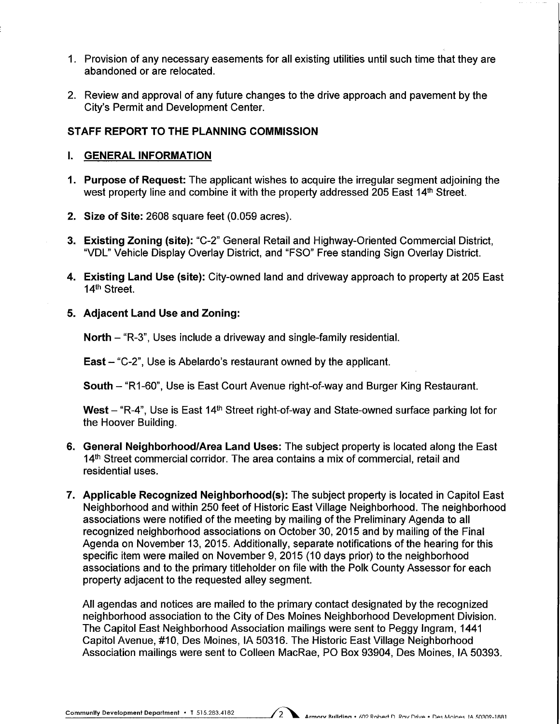- 1. Provision of any necessary easements for all existing utilities until such time that they are abandoned or are relocated.
- 2. Review and approval of any future changes to the drive approach and pavement by the City's Permit and Development Center.

### STAFF REPORT TO THE PLANNING COMMISSION

#### I. GENERAL INFORMATION

- 1. Purpose of Request: The applicant wishes to acquire the irregular segment adjoining the west property line and combine it with the property addressed 205 East 14<sup>th</sup> Street.
- 2. Size of Site: 2608 square feet (0.059 acres).
- 3. Existing Zoning (site): "C-2" General Retail and Highway-Oriented Commercial District, "VDL" Vehicle Display Overlay District, and "FSO" Free standing Sign Overlay District.
- 4. Existing Land Use (site): City-owned land and driveway approach to property at 205 East 14th Street.
- 5. Adjacent Land Use and Zoning:

North - "R-3", Uses include a driveway and single-family residential.

East - "C-2", Use is Abelardo's restaurant owned by the applicant.

South - "R1-60", Use is East Court Avenue right-of-way and Burger King Restaurant.

West  $-$  "R-4", Use is East 14<sup>th</sup> Street right-of-way and State-owned surface parking lot for the Hoover Building.

- 6. General Neighborhood/Area Land Uses: The subject property is located along the East 14<sup>th</sup> Street commercial corridor. The area contains a mix of commercial, retail and residential uses.
- 7. Applicable Recognized Neighborhood(s): The subject property is located in Capitol East Neighborhood and within 250 feet of Historic East Village Neighborhood. The neighborhood associations were notified of the meeting by mailing of the Preliminary Agenda to all recognized neighborhood associations on October 30, 2015 and by mailing of the Final Agenda on November 13, 2015. Additionally, separate notifications of the hearing for this specific item were mailed on November 9, 2015 (10 days prior) to the neighborhood associations and to the primary titleholder on file with the Polk County Assessor for each property adjacent to the requested alley segment.

All agendas and notices are mailed to the primary contact designated by the recognized neighborhood association to the City of Des Moines Neighborhood Development Division. The Capitol East Neighborhood Association mailings were sent to Peggy Ingram, 1441 Capitol Avenue, #10, Des Moines, IA 50316. The Historic East Village Neighborhood Association mailings were sent to Colleen MacRae, PO Box 93904, Des Moines, IA 50393.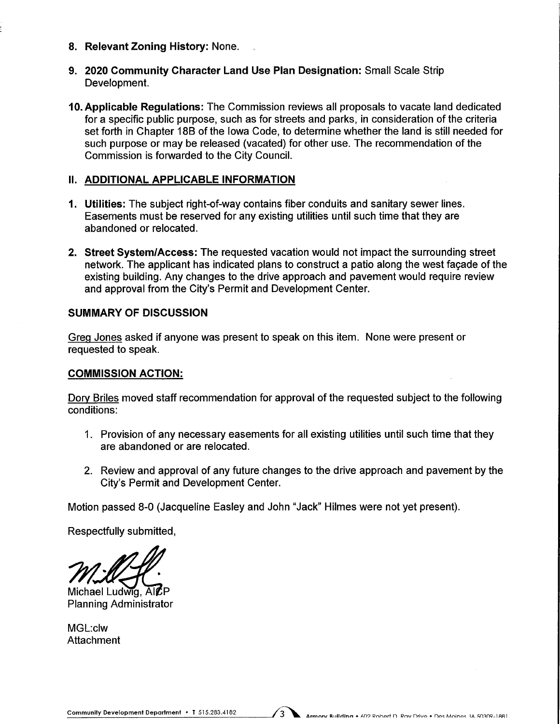- 8. Relevant Zoning History: None.
- 9. 2020 Community Character Land Use Plan Designation: Small Scale Strip Development.
- 10. Applicable Regulations: The Commission reviews all proposals to vacate land dedicated for a specific public purpose, such as for streets and parks, in consideration of the criteria set forth in Chapter 18B of the Iowa Code, to determine whether the land is still needed for such purpose or may be released (vacated) for other use. The recommendation of the Commission is forwarded to the City Council.

#### II. ADDITIONAL APPLICABLE INFORMATION

- 1. Utilities: The subject right-of-way contains fiber conduits and sanitary sewer lines. Easements must be reserved for any existing utilities until such time that they are abandoned or relocated.
- 2. Street System/Access: The requested vacation would not impact the surrounding street network. The applicant has indicated plans to construct a patio along the west facade of the existing building. Any changes to the drive approach and pavement would require review and approval from the City's Permit and Development Center.

#### SUMMARY OF DISCUSSION

Grea Jones asked if anyone was present to speak on this item. None were present or requested to speak.

# COMMISSION ACTION:

Dory Briles moved staff recommendation for approval of the requested subject to the following conditions:

- 1. Provision of any necessary easements for all existing utilities until such time that they are abandoned or are relocated.
- 2. Review and approval of any future changes to the drive approach and pavement by the City's Permit and Development Center.

Motion passed 8-0 (Jacqueline Easley and John "Jack" Hilmes were not yet present).

 $\sqrt{3}$ 

Respectfully submitted,

 $M$  $M$  $M$ 

Planning Administrator

MGL:clw **Attachment**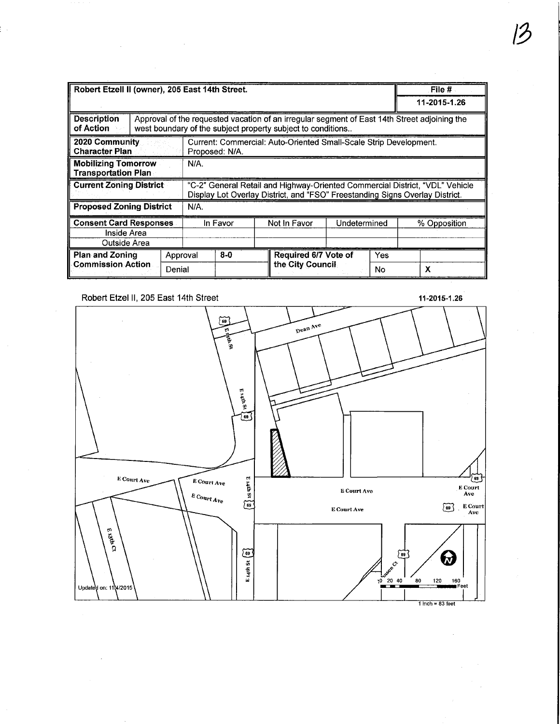| Robert Etzell II (owner), 205 East 14th Street.                                                                                                                                                |                                                                                     |                    |          |       |  | File $#$                                 |              |              |              |  |
|------------------------------------------------------------------------------------------------------------------------------------------------------------------------------------------------|-------------------------------------------------------------------------------------|--------------------|----------|-------|--|------------------------------------------|--------------|--------------|--------------|--|
|                                                                                                                                                                                                |                                                                                     |                    |          |       |  |                                          |              | 11-2015-1.26 |              |  |
| <b>Description</b><br>Approval of the requested vacation of an irregular segment of East 14th Street adjoining the<br>of Action<br>west boundary of the subject property subject to conditions |                                                                                     |                    |          |       |  |                                          |              |              |              |  |
| 2020 Community<br><b>Character Plan</b>                                                                                                                                                        | Current: Commercial: Auto-Oriented Small-Scale Strip Development.<br>Proposed: N/A. |                    |          |       |  |                                          |              |              |              |  |
| <b>Mobilizing Tomorrow</b><br>N/A.<br><b>Transportation Plan</b>                                                                                                                               |                                                                                     |                    |          |       |  |                                          |              |              |              |  |
| <b>Current Zoning District</b><br>"C-2" General Retail and Highway-Oriented Commercial District, "VDL" Vehicle<br>Display Lot Overlay District, and "FSO" Freestanding Signs Overlay District. |                                                                                     |                    |          |       |  |                                          |              |              |              |  |
| <b>Proposed Zoning District</b><br>N/A.                                                                                                                                                        |                                                                                     |                    |          |       |  |                                          |              |              |              |  |
| <b>Consent Card Responses</b><br>Inside Area<br>Outside Area                                                                                                                                   |                                                                                     |                    | In Favor |       |  | Not In Favor                             | Undetermined |              | % Opposition |  |
| <b>Plan and Zoning</b><br><b>Commission Action</b>                                                                                                                                             |                                                                                     | Approval<br>Denial |          | $8-0$ |  | Required 6/7 Vote of<br>the City Council |              | Yes<br>No    | X            |  |

#### Robert Etzel II, 205 East 14th Street 11-2015-1.26